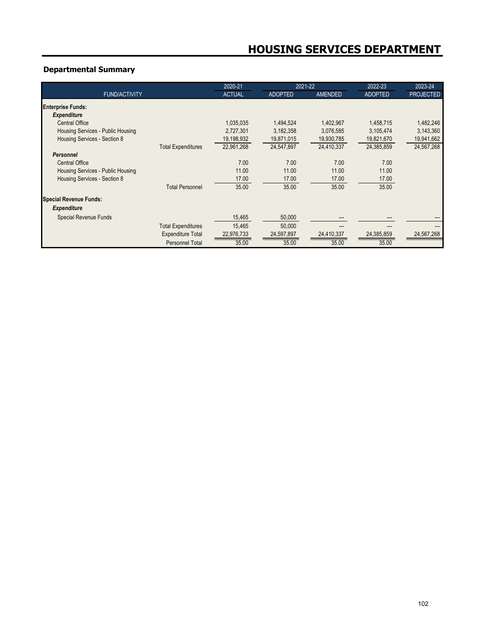# **Departmental Summary**

|                                   | 2020-21       |                | 2021-22        | 2022-23        | 2023-24          |
|-----------------------------------|---------------|----------------|----------------|----------------|------------------|
| <b>FUND/ACTIVITY</b>              | <b>ACTUAL</b> | <b>ADOPTED</b> | <b>AMENDED</b> | <b>ADOPTED</b> | <b>PROJECTED</b> |
| Enterprise Funds:                 |               |                |                |                |                  |
| <b>Expenditure</b>                |               |                |                |                |                  |
| <b>Central Office</b>             | 1,035,035     | 1,494,524      | 1,402,967      | 1,458,715      | 1,482,246        |
| Housing Services - Public Housing | 2,727,301     | 3,182,358      | 3,076,585      | 3,105,474      | 3,143,360        |
| Housing Services - Section 8      | 19,198,932    | 19,871,015     | 19,930,785     | 19,821,670     | 19,941,662       |
| <b>Total Expenditures</b>         | 22,961,268    | 24,547,897     | 24,410,337     | 24,385,859     | 24,567,268       |
| <b>Personnel</b>                  |               |                |                |                |                  |
| <b>Central Office</b>             | 7.00          | 7.00           | 7.00           | 7.00           |                  |
| Housing Services - Public Housing | 11.00         | 11.00          | 11.00          | 11.00          |                  |
| Housing Services - Section 8      | 17.00         | 17.00          | 17.00          | 17.00          |                  |
| <b>Total Personnel</b>            | 35.00         | 35.00          | 35.00          | 35.00          |                  |
| <b>Special Revenue Funds:</b>     |               |                |                |                |                  |
| <b>Expenditure</b>                |               |                |                |                |                  |
| Special Revenue Funds             | 15,465        | 50,000         |                |                |                  |
| <b>Total Expenditures</b>         | 15,465        | 50,000         |                |                | ---              |
| <b>Expenditure Total</b>          | 22,976,733    | 24,597,897     | 24,410,337     | 24,385,859     | 24,567,268       |
| <b>Personnel Total</b>            | 35.00         | 35.00          | 35.00          | 35.00          |                  |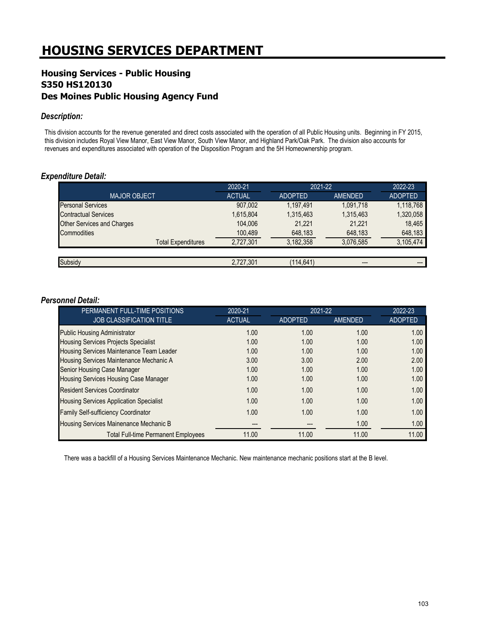# **HOUSING SERVICES DEPARTMENT**

# **Housing Services - Public Housing S350 HS120130 Des Moines Public Housing Agency Fund**

#### *Description:*

This division accounts for the revenue generated and direct costs associated with the operation of all Public Housing units. Beginning in FY 2015, this division includes Royal View Manor, East View Manor, South View Manor, and Highland Park/Oak Park. The division also accounts for revenues and expenditures associated with operation of the Disposition Program and the 5H Homeownership program.

## *Expenditure Detail:*

|                                   | 2020-21       | 2021-22        |                | 2022-23        |
|-----------------------------------|---------------|----------------|----------------|----------------|
| <b>MAJOR OBJECT</b>               | <b>ACTUAL</b> | <b>ADOPTED</b> | <b>AMENDED</b> | <b>ADOPTED</b> |
| <b>Personal Services</b>          | 907,002       | 1.197.491      | 1,091,718      | 1,118,768      |
| <b>Contractual Services</b>       | 1,615,804     | 1,315,463      | 1,315,463      | 1,320,058      |
| <b>Other Services and Charges</b> | 104.006       | 21.221         | 21,221         | 18.465         |
| Commodities                       | 100,489       | 648,183        | 648,183        | 648,183        |
| <b>Total Expenditures</b>         | 2.727.301     | 3.182.358      | 3.076.585      | 3,105,474      |
|                                   |               |                |                |                |
| Subsidy                           | 2,727,301     | (114,641)      | ---            |                |

#### *Personnel Detail:*

| PERMANENT FULL-TIME POSITIONS                  | 2020-21       |                | 2021-22 |                |  |
|------------------------------------------------|---------------|----------------|---------|----------------|--|
| <b>JOB CLASSIFICATION TITLE</b>                | <b>ACTUAL</b> | <b>ADOPTED</b> | AMENDED | <b>ADOPTED</b> |  |
| <b>Public Housing Administrator</b>            | 1.00          | 1.00           | 1.00    | 1.00           |  |
| <b>Housing Services Projects Specialist</b>    | 1.00          | 1.00           | 1.00    | 1.00           |  |
| Housing Services Maintenance Team Leader       | 1.00          | 1.00           | 1.00    | 1.00           |  |
| Housing Services Maintenance Mechanic A        | 3.00          | 3.00           | 2.00    | 2.00           |  |
| Senior Housing Case Manager                    | 1.00          | 1.00           | 1.00    | 1.00           |  |
| Housing Services Housing Case Manager          | 1.00          | 1.00           | 1.00    | 1.00           |  |
| <b>Resident Services Coordinator</b>           | 1.00          | 1.00           | 1.00    | 1.00           |  |
| <b>Housing Services Application Specialist</b> | 1.00          | 1.00           | 1.00    | 1.00           |  |
| Family Self-sufficiency Coordinator            | 1.00          | 1.00           | 1.00    | 1.00           |  |
| Housing Services Mainenance Mechanic B         |               |                | 1.00    | 1.00           |  |
| <b>Total Full-time Permanent Employees</b>     | 11.00         | 11.00          | 11.00   | 11.00          |  |

There was a backfill of a Housing Services Maintenance Mechanic. New maintenance mechanic positions start at the B level.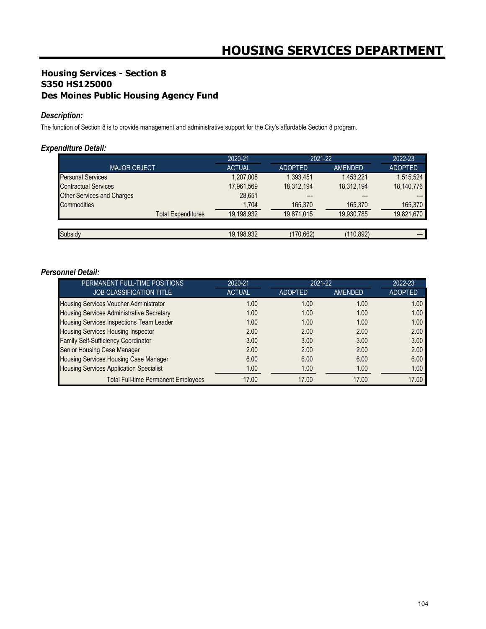# **Housing Services - Section 8 S350 HS125000 Des Moines Public Housing Agency Fund**

## *Description:*

The function of Section 8 is to provide management and administrative support for the City's affordable Section 8 program.

## *Expenditure Detail:*

|                                   | 2020-21       | 2021-22        |            | 2022-23        |
|-----------------------------------|---------------|----------------|------------|----------------|
| <b>MAJOR OBJECT</b>               | <b>ACTUAL</b> | <b>ADOPTED</b> | AMENDED    | <b>ADOPTED</b> |
| <b>Personal Services</b>          | 1,207,008     | 1,393,451      | 1,453,221  | 1,515,524      |
| <b>Contractual Services</b>       | 17,961,569    | 18,312,194     | 18,312,194 | 18,140,776     |
| <b>Other Services and Charges</b> | 28,651        | ---            | $---$      |                |
| Commodities                       | 1,704         | 165,370        | 165,370    | 165,370        |
| <b>Total Expenditures</b>         | 19.198.932    | 19,871,015     | 19,930,785 | 19,821,670     |
|                                   |               |                |            |                |
| Subsidy                           | 19,198,932    | (170,662)      | (110,892)  | ---            |

## *Personnel Detail:*

| PERMANENT FULL-TIME POSITIONS                    | 2020-21       |                | 2021-22 |                |  |
|--------------------------------------------------|---------------|----------------|---------|----------------|--|
| JOB CLASSIFICATION TITLE                         | <b>ACTUAL</b> | <b>ADOPTED</b> | AMENDED | <b>ADOPTED</b> |  |
| Housing Services Voucher Administrator           | 1.00          | 1.00           | 1.00    | 1.00           |  |
| <b>Housing Services Administrative Secretary</b> | 1.00          | 1.00           | 1.00    | 1.00           |  |
| Housing Services Inspections Team Leader         | 1.00          | 1.00           | 1.00    | 1.00           |  |
| <b>Housing Services Housing Inspector</b>        | 2.00          | 2.00           | 2.00    | 2.00           |  |
| Family Self-Sufficiency Coordinator              | 3.00          | 3.00           | 3.00    | 3.00           |  |
| Senior Housing Case Manager                      | 2.00          | 2.00           | 2.00    | 2.00           |  |
| Housing Services Housing Case Manager            | 6.00          | 6.00           | 6.00    | 6.00           |  |
| <b>Housing Services Application Specialist</b>   | 1.00          | 1.00           | 1.00    | 1.00           |  |
| <b>Total Full-time Permanent Employees</b>       | 17.00         | 17.00          | 17.00   | 17.00          |  |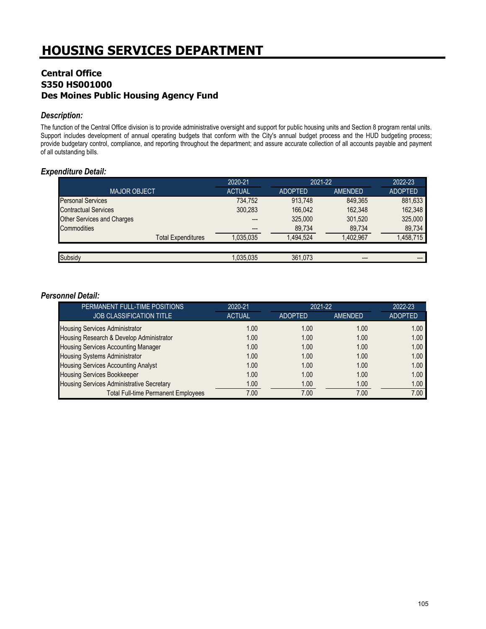# **Central Office S350 HS001000 Des Moines Public Housing Agency Fund**

## *Description:*

The function of the Central Office division is to provide administrative oversight and support for public housing units and Section 8 program rental units. Support includes development of annual operating budgets that conform with the City's annual budget process and the HUD budgeting process; provide budgetary control, compliance, and reporting throughout the department; and assure accurate collection of all accounts payable and payment of all outstanding bills.

## *Expenditure Detail:*

|                                   | 2020-21       |                | 2021-22   |                |
|-----------------------------------|---------------|----------------|-----------|----------------|
| <b>MAJOR OBJECT</b>               | <b>ACTUAL</b> | <b>ADOPTED</b> | AMENDED   | <b>ADOPTED</b> |
| <b>Personal Services</b>          | 734.752       | 913.748        | 849.365   | 881,633        |
| <b>Contractual Services</b>       | 300,283       | 166.042        | 162.348   | 162,348        |
| <b>Other Services and Charges</b> | ---           | 325,000        | 301,520   | 325,000        |
| Commodities                       | $---$         | 89,734         | 89,734    | 89,734         |
| <b>Total Expenditures</b>         | ,035,035      | 1.494.524      | 1.402.967 | 1,458,715      |
|                                   |               |                |           |                |
| Subsidy                           | 1,035,035     | 361.073        | ---       |                |

## *Personnel Detail:*

| PERMANENT FULL-TIME POSITIONS              | 2020-21       | 2021-22        | 2022-23  |                |
|--------------------------------------------|---------------|----------------|----------|----------------|
| <b>JOB CLASSIFICATION TITLE</b>            | <b>ACTUAL</b> | <b>ADOPTED</b> | AMENDED. | <b>ADOPTED</b> |
| <b>Housing Services Administrator</b>      | 1.00          | 1.00           | 1.00     | 1.00           |
| Housing Research & Develop Administrator   | 1.00          | 1.00           | 1.00     | 1.00           |
| <b>Housing Services Accounting Manager</b> | 1.00          | 1.00           | 1.00     | 1.00           |
| <b>Housing Systems Administrator</b>       | 1.00          | 1.00           | 1.00     | 1.00           |
| <b>Housing Services Accounting Analyst</b> | 1.00          | 1.00           | 1.00     | 1.00           |
| <b>Housing Services Bookkeeper</b>         | 1.00          | 1.00           | 1.00     | 1.00           |
| Housing Services Administrative Secretary  | 1.00          | 1.00           | 1.00     | 1.00           |
| <b>Total Full-time Permanent Employees</b> | 7.00          | 7.00           | 7.00     | 7.00           |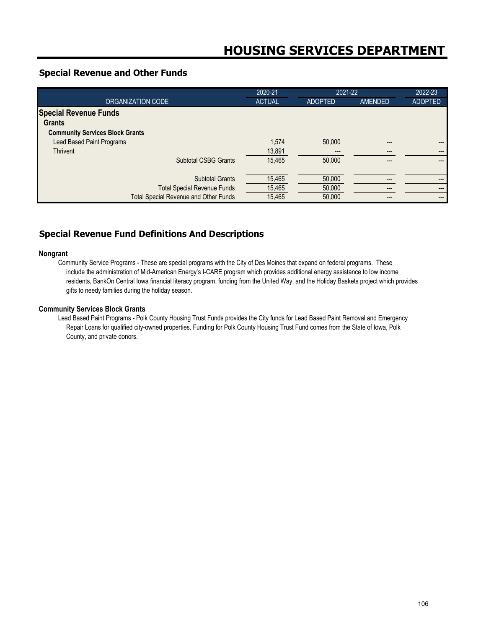## **Special Revenue and Other Funds**

|                                              | 2020-21       | 2021-22        |                | 2022-23        |
|----------------------------------------------|---------------|----------------|----------------|----------------|
| ORGANIZATION CODE                            | <b>ACTUAL</b> | <b>ADOPTED</b> | <b>AMENDED</b> | <b>ADOPTED</b> |
| <b>Special Revenue Funds</b>                 |               |                |                |                |
| <b>Grants</b>                                |               |                |                |                |
| <b>Community Services Block Grants</b>       |               |                |                |                |
| <b>Lead Based Paint Programs</b>             | 1,574         | 50,000         | ---            | ---            |
| Thrivent                                     | 13,891        | $---$          | ---            | ---            |
| <b>Subtotal CSBG Grants</b>                  | 15,465        | 50,000         | ---            | ---            |
|                                              |               |                |                |                |
| <b>Subtotal Grants</b>                       | 15,465        | 50,000         |                | ---            |
| <b>Total Special Revenue Funds</b>           | 15,465        | 50,000         |                | ---            |
| <b>Total Special Revenue and Other Funds</b> | 15,465        | 50,000         |                | ---            |

# **Special Revenue Fund Definitions And Descriptions**

#### **Nongrant**

Community Service Programs - These are special programs with the City of Des Moines that expand on federal programs. These include the administration of Mid-American Energy's I-CARE program which provides additional energy assistance to low income residents, BankOn Central Iowa financial literacy program, funding from the United Way, and the Holiday Baskets project which provides gifts to needy families during the holiday season.

#### **Community Services Block Grants**

Lead Based Paint Programs - Polk County Housing Trust Funds provides the City funds for Lead Based Paint Removal and Emergency Repair Loans for qualified city-owned properties. Funding for Polk County Housing Trust Fund comes from the State of Iowa, Polk County, and private donors.